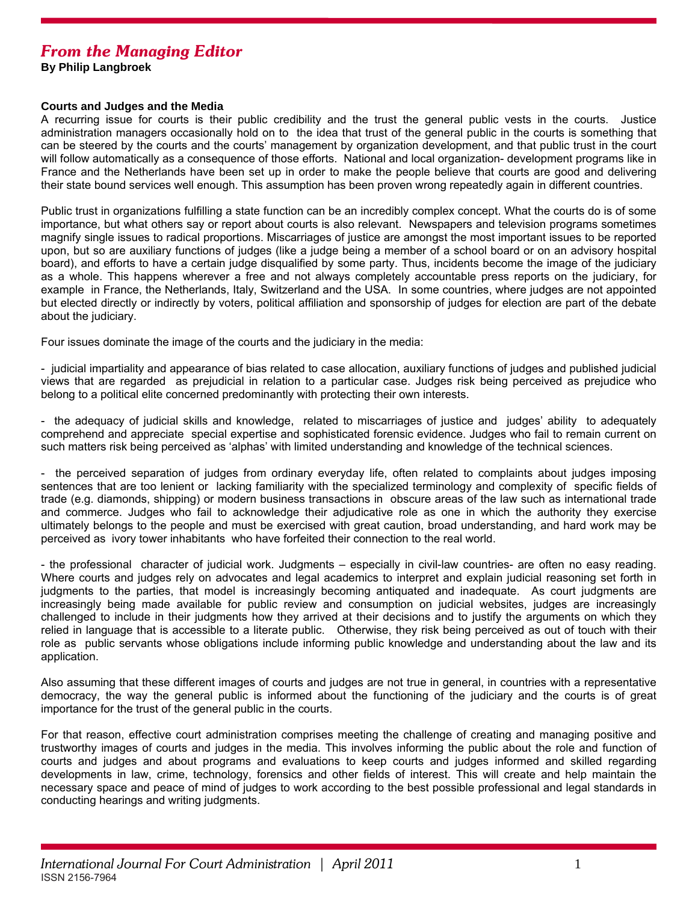## *From the Managing Editor*

**By Philip Langbroek** 

## **Courts and Judges and the Media**

A recurring issue for courts is their public credibility and the trust the general public vests in the courts. Justice administration managers occasionally hold on to the idea that trust of the general public in the courts is something that can be steered by the courts and the courts' management by organization development, and that public trust in the court will follow automatically as a consequence of those efforts. National and local organization- development programs like in France and the Netherlands have been set up in order to make the people believe that courts are good and delivering their state bound services well enough. This assumption has been proven wrong repeatedly again in different countries.

Public trust in organizations fulfilling a state function can be an incredibly complex concept. What the courts do is of some importance, but what others say or report about courts is also relevant. Newspapers and television programs sometimes magnify single issues to radical proportions. Miscarriages of justice are amongst the most important issues to be reported upon, but so are auxiliary functions of judges (like a judge being a member of a school board or on an advisory hospital board), and efforts to have a certain judge disqualified by some party. Thus, incidents become the image of the judiciary as a whole. This happens wherever a free and not always completely accountable press reports on the judiciary, for example in France, the Netherlands, Italy, Switzerland and the USA. In some countries, where judges are not appointed but elected directly or indirectly by voters, political affiliation and sponsorship of judges for election are part of the debate about the judiciary.

Four issues dominate the image of the courts and the judiciary in the media:

- judicial impartiality and appearance of bias related to case allocation, auxiliary functions of judges and published judicial views that are regarded as prejudicial in relation to a particular case. Judges risk being perceived as prejudice who belong to a political elite concerned predominantly with protecting their own interests.

- the adequacy of judicial skills and knowledge, related to miscarriages of justice and judges' ability to adequately comprehend and appreciate special expertise and sophisticated forensic evidence. Judges who fail to remain current on such matters risk being perceived as 'alphas' with limited understanding and knowledge of the technical sciences.

- the perceived separation of judges from ordinary everyday life, often related to complaints about judges imposing sentences that are too lenient or lacking familiarity with the specialized terminology and complexity of specific fields of trade (e.g. diamonds, shipping) or modern business transactions in obscure areas of the law such as international trade and commerce. Judges who fail to acknowledge their adjudicative role as one in which the authority they exercise ultimately belongs to the people and must be exercised with great caution, broad understanding, and hard work may be perceived as ivory tower inhabitants who have forfeited their connection to the real world.

- the professional character of judicial work. Judgments – especially in civil-law countries- are often no easy reading. Where courts and judges rely on advocates and legal academics to interpret and explain judicial reasoning set forth in judgments to the parties, that model is increasingly becoming antiquated and inadequate. As court judgments are increasingly being made available for public review and consumption on judicial websites, judges are increasingly challenged to include in their judgments how they arrived at their decisions and to justify the arguments on which they relied in language that is accessible to a literate public. Otherwise, they risk being perceived as out of touch with their role as public servants whose obligations include informing public knowledge and understanding about the law and its application.

Also assuming that these different images of courts and judges are not true in general, in countries with a representative democracy, the way the general public is informed about the functioning of the judiciary and the courts is of great importance for the trust of the general public in the courts.

For that reason, effective court administration comprises meeting the challenge of creating and managing positive and trustworthy images of courts and judges in the media. This involves informing the public about the role and function of courts and judges and about programs and evaluations to keep courts and judges informed and skilled regarding developments in law, crime, technology, forensics and other fields of interest. This will create and help maintain the necessary space and peace of mind of judges to work according to the best possible professional and legal standards in conducting hearings and writing judgments.